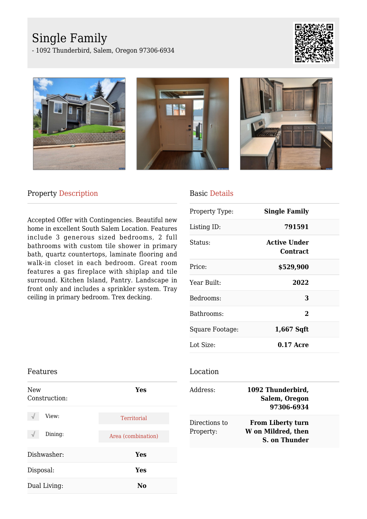# Single Family

- 1092 Thunderbird, Salem, Oregon 97306-6934









### Property Description

Accepted Offer with Contingencies. Beautiful new home in excellent South Salem Location. Features include 3 generous sized bedrooms, 2 full bathrooms with custom tile shower in primary bath, quartz countertops, laminate flooring and walk-in closet in each bedroom. Great room features a gas fireplace with shiplap and tile surround. Kitchen Island, Pantry. Landscape in front only and includes a sprinkler system. Tray ceiling in primary bedroom. Trex decking.

### Basic Details

| Property Type:  | <b>Single Family</b>                   |  |
|-----------------|----------------------------------------|--|
| Listing ID:     | 791591                                 |  |
| Status:         | <b>Active Under</b><br><b>Contract</b> |  |
| Price:          | \$529,900                              |  |
| Year Built:     | 2022                                   |  |
| Bedrooms:       | 3                                      |  |
| Bathrooms:      | $\overline{2}$                         |  |
| Square Footage: | 1,667 Sqft                             |  |
| Lot Size:       | $0.17$ Acre                            |  |

## Features New Construction: **Yes** View: Territorial Dining: Area (combination) Dishwasher: **Yes** Disposal: **Yes** Dual Living: **No**

#### Location

| Address:                   | 1092 Thunderbird,<br><b>Salem, Oregon</b><br>97306-6934         |  |
|----------------------------|-----------------------------------------------------------------|--|
| Directions to<br>Property: | From Liberty turn<br>W on Mildred, then<br><b>S. on Thunder</b> |  |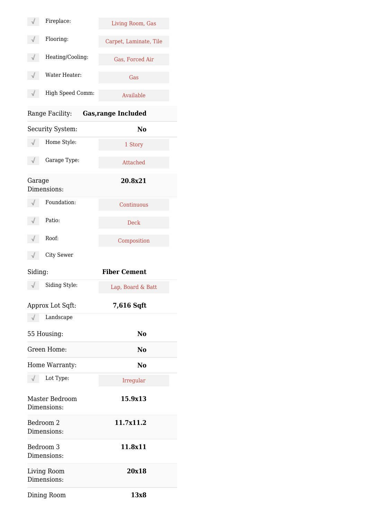|                                               | Fireplace:                          | Living Room, Gas       |  |  |
|-----------------------------------------------|-------------------------------------|------------------------|--|--|
|                                               | Flooring:                           | Carpet, Laminate, Tile |  |  |
|                                               | Heating/Cooling:                    | Gas, Forced Air        |  |  |
|                                               | Water Heater:                       | Gas                    |  |  |
|                                               | High Speed Comm:                    | Available              |  |  |
| Range Facility:<br><b>Gas, range Included</b> |                                     |                        |  |  |
|                                               | Security System:                    | No                     |  |  |
|                                               | Home Style:                         | 1 Story                |  |  |
|                                               | Garage Type:                        | Attached               |  |  |
| Garage                                        | Dimensions:                         | 20.8x21                |  |  |
|                                               | Foundation:                         | Continuous             |  |  |
|                                               | Patio:                              | <b>Deck</b>            |  |  |
|                                               | Roof:                               | Composition            |  |  |
|                                               | <b>City Sewer</b>                   |                        |  |  |
| Siding:                                       |                                     | <b>Fiber Cement</b>    |  |  |
|                                               | Siding Style:                       | Lap, Board & Batt      |  |  |
|                                               | Approx Lot Sqft:                    | 7,616 Sqft             |  |  |
|                                               | Landscape                           |                        |  |  |
| 55 Housing:                                   |                                     | No                     |  |  |
|                                               | Green Home:                         | No                     |  |  |
|                                               | Home Warranty:                      | No                     |  |  |
|                                               | Lot Type:                           | Irregular              |  |  |
|                                               | Master Bedroom<br>Dimensions:       | 15.9x13                |  |  |
|                                               | Bedroom 2<br>Dimensions:            | 11.7x11.2              |  |  |
|                                               | Bedroom <sub>3</sub><br>Dimensions: | 11.8x11                |  |  |
|                                               | Living Room<br>Dimensions:          | 20x18                  |  |  |
|                                               | Dining Room                         | 13x8                   |  |  |